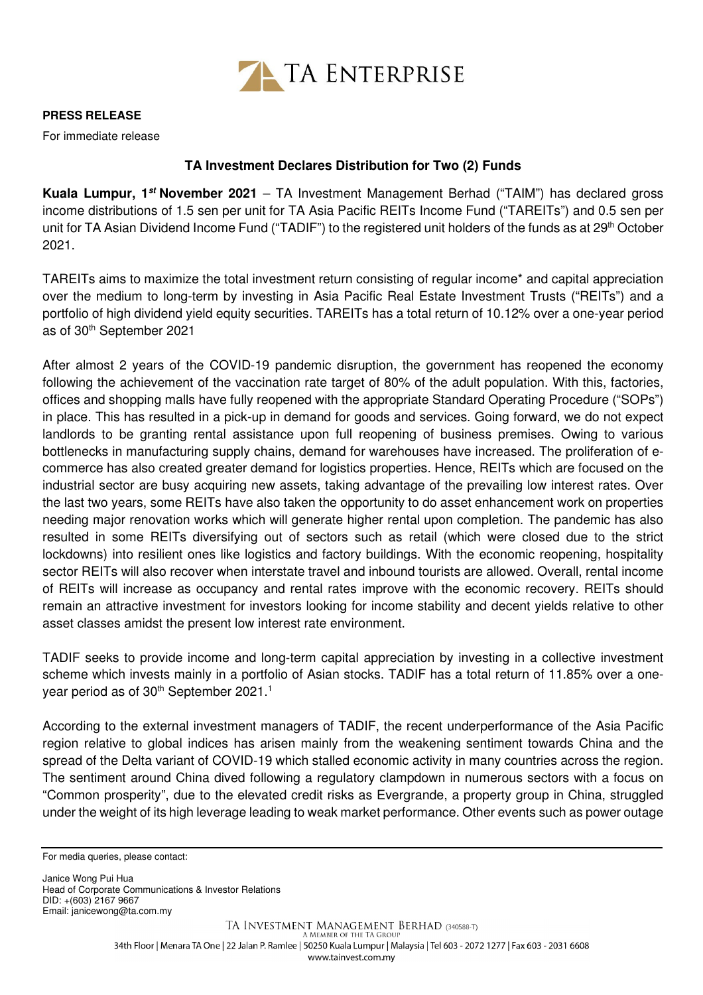

## **PRESS RELEASE**

For immediate release

## **TA Investment Declares Distribution for Two (2) Funds**

**Kuala Lumpur, 1st November 2021** – TA Investment Management Berhad ("TAIM") has declared gross income distributions of 1.5 sen per unit for TA Asia Pacific REITs Income Fund ("TAREITs") and 0.5 sen per unit for TA Asian Dividend Income Fund ("TADIF") to the registered unit holders of the funds as at 29<sup>th</sup> October 2021.

TAREITs aims to maximize the total investment return consisting of regular income\* and capital appreciation over the medium to long-term by investing in Asia Pacific Real Estate Investment Trusts ("REITs") and a portfolio of high dividend yield equity securities. TAREITs has a total return of 10.12% over a one-year period as of 30<sup>th</sup> September 2021

After almost 2 years of the COVID-19 pandemic disruption, the government has reopened the economy following the achievement of the vaccination rate target of 80% of the adult population. With this, factories, offices and shopping malls have fully reopened with the appropriate Standard Operating Procedure ("SOPs") in place. This has resulted in a pick-up in demand for goods and services. Going forward, we do not expect landlords to be granting rental assistance upon full reopening of business premises. Owing to various bottlenecks in manufacturing supply chains, demand for warehouses have increased. The proliferation of ecommerce has also created greater demand for logistics properties. Hence, REITs which are focused on the industrial sector are busy acquiring new assets, taking advantage of the prevailing low interest rates. Over the last two years, some REITs have also taken the opportunity to do asset enhancement work on properties needing major renovation works which will generate higher rental upon completion. The pandemic has also resulted in some REITs diversifying out of sectors such as retail (which were closed due to the strict lockdowns) into resilient ones like logistics and factory buildings. With the economic reopening, hospitality sector REITs will also recover when interstate travel and inbound tourists are allowed. Overall, rental income of REITs will increase as occupancy and rental rates improve with the economic recovery. REITs should remain an attractive investment for investors looking for income stability and decent yields relative to other asset classes amidst the present low interest rate environment.

TADIF seeks to provide income and long-term capital appreciation by investing in a collective investment scheme which invests mainly in a portfolio of Asian stocks. TADIF has a total return of 11.85% over a oneyear period as of 30<sup>th</sup> September 2021.<sup>1</sup>

According to the external investment managers of TADIF, the recent underperformance of the Asia Pacific region relative to global indices has arisen mainly from the weakening sentiment towards China and the spread of the Delta variant of COVID-19 which stalled economic activity in many countries across the region. The sentiment around China dived following a regulatory clampdown in numerous sectors with a focus on "Common prosperity", due to the elevated credit risks as Evergrande, a property group in China, struggled under the weight of its high leverage leading to weak market performance. Other events such as power outage

Janice Wong Pui Hua Head of Corporate Communications & Investor Relations DID: +(603) 2167 9667 Email: janicewong@ta.com.my

For media queries, please contact: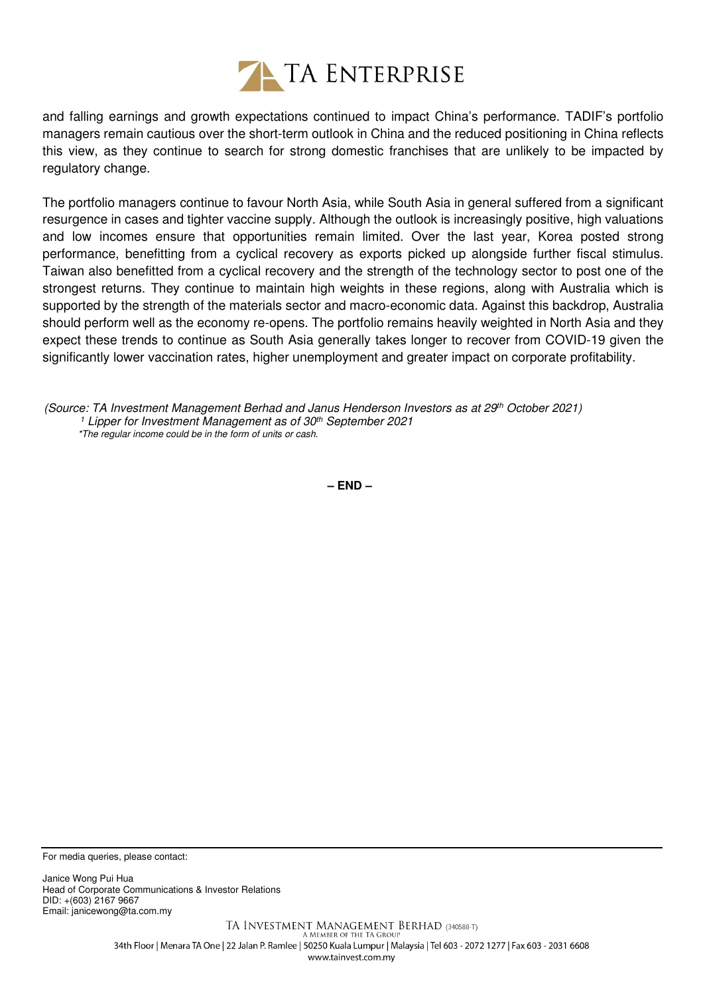

and falling earnings and growth expectations continued to impact China's performance. TADIF's portfolio managers remain cautious over the short-term outlook in China and the reduced positioning in China reflects this view, as they continue to search for strong domestic franchises that are unlikely to be impacted by regulatory change.

The portfolio managers continue to favour North Asia, while South Asia in general suffered from a significant resurgence in cases and tighter vaccine supply. Although the outlook is increasingly positive, high valuations and low incomes ensure that opportunities remain limited. Over the last year, Korea posted strong performance, benefitting from a cyclical recovery as exports picked up alongside further fiscal stimulus. Taiwan also benefitted from a cyclical recovery and the strength of the technology sector to post one of the strongest returns. They continue to maintain high weights in these regions, along with Australia which is supported by the strength of the materials sector and macro-economic data. Against this backdrop, Australia should perform well as the economy re-opens. The portfolio remains heavily weighted in North Asia and they expect these trends to continue as South Asia generally takes longer to recover from COVID-19 given the significantly lower vaccination rates, higher unemployment and greater impact on corporate profitability.

(Source: TA Investment Management Berhad and Janus Henderson Investors as at 29th October 2021) <sup>1</sup> Lipper for Investment Management as of 30<sup>th</sup> September 2021 \*The regular income could be in the form of units or cash.

**– END –**

For media queries, please contact:

Janice Wong Pui Hua Head of Corporate Communications & Investor Relations DID: +(603) 2167 9667 Email: janicewong@ta.com.my